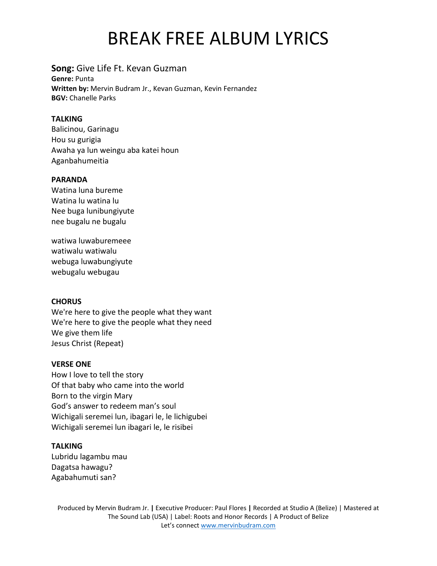# BREAK FREE ALBUM LYRICS

# **Song:** Give Life Ft. Kevan Guzman

**Genre:** Punta **Written by:** Mervin Budram Jr., Kevan Guzman, Kevin Fernandez **BGV:** Chanelle Parks

## **TALKING**

Balicinou, Garinagu Hou su gurigia Awaha ya lun weingu aba katei houn Aganbahumeitia

### **PARANDA**

Watina luna bureme Watina lu watina lu Nee buga lunibungiyute nee bugalu ne bugalu

watiwa luwaburemeee watiwalu watiwalu webuga luwabungiyute webugalu webugau

### **CHORUS**

We're here to give the people what they want We're here to give the people what they need We give them life Jesus Christ (Repeat)

### **VERSE ONE**

How I love to tell the story Of that baby who came into the world Born to the virgin Mary God's answer to redeem man's soul Wichigali seremei lun, ibagari le, le lichigubei Wichigali seremei lun ibagari le, le risibei

### **TALKING**

Lubridu lagambu mau Dagatsa hawagu? Agabahumuti san?

Produced by Mervin Budram Jr. **|** Executive Producer: Paul Flores **|** Recorded at Studio A (Belize) | Mastered at The Sound Lab (USA) | Label: Roots and Honor Records | A Product of Belize Let's connec[t www.mervinbudram.com](http://www.mervinbudram.com/)